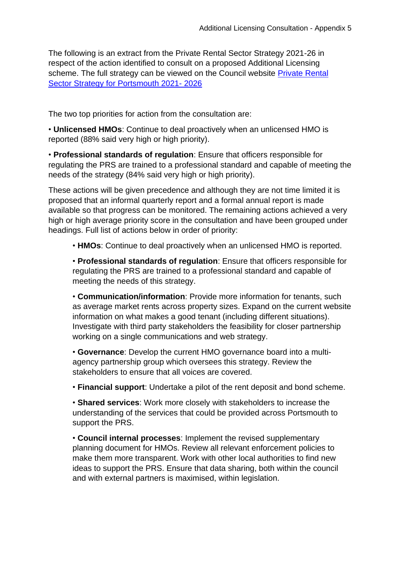The following is an extract from the Private Rental Sector Strategy 2021-26 in respect of the action identified to consult on a proposed Additional Licensing scheme. The full strategy can be viewed on the Council website [Private Rental](https://www.portsmouth.gov.uk/wp-content/uploads/2021/08/Private-Rental-Sector-strategy-2021-2026.pdf)  [Sector Strategy for Portsmouth 2021-](https://www.portsmouth.gov.uk/wp-content/uploads/2021/08/Private-Rental-Sector-strategy-2021-2026.pdf) 2026

The two top priorities for action from the consultation are:

• **Unlicensed HMOs**: Continue to deal proactively when an unlicensed HMO is reported (88% said very high or high priority).

• **Professional standards of regulation**: Ensure that officers responsible for regulating the PRS are trained to a professional standard and capable of meeting the needs of the strategy (84% said very high or high priority).

These actions will be given precedence and although they are not time limited it is proposed that an informal quarterly report and a formal annual report is made available so that progress can be monitored. The remaining actions achieved a very high or high average priority score in the consultation and have been grouped under headings. Full list of actions below in order of priority:

• **HMOs**: Continue to deal proactively when an unlicensed HMO is reported.

• **Professional standards of regulation**: Ensure that officers responsible for regulating the PRS are trained to a professional standard and capable of meeting the needs of this strategy.

• **Communication/information**: Provide more information for tenants, such as average market rents across property sizes. Expand on the current website information on what makes a good tenant (including different situations). Investigate with third party stakeholders the feasibility for closer partnership working on a single communications and web strategy.

• **Governance**: Develop the current HMO governance board into a multiagency partnership group which oversees this strategy. Review the stakeholders to ensure that all voices are covered.

• **Financial support**: Undertake a pilot of the rent deposit and bond scheme.

• **Shared services**: Work more closely with stakeholders to increase the understanding of the services that could be provided across Portsmouth to support the PRS.

• **Council internal processes**: Implement the revised supplementary planning document for HMOs. Review all relevant enforcement policies to make them more transparent. Work with other local authorities to find new ideas to support the PRS. Ensure that data sharing, both within the council and with external partners is maximised, within legislation.